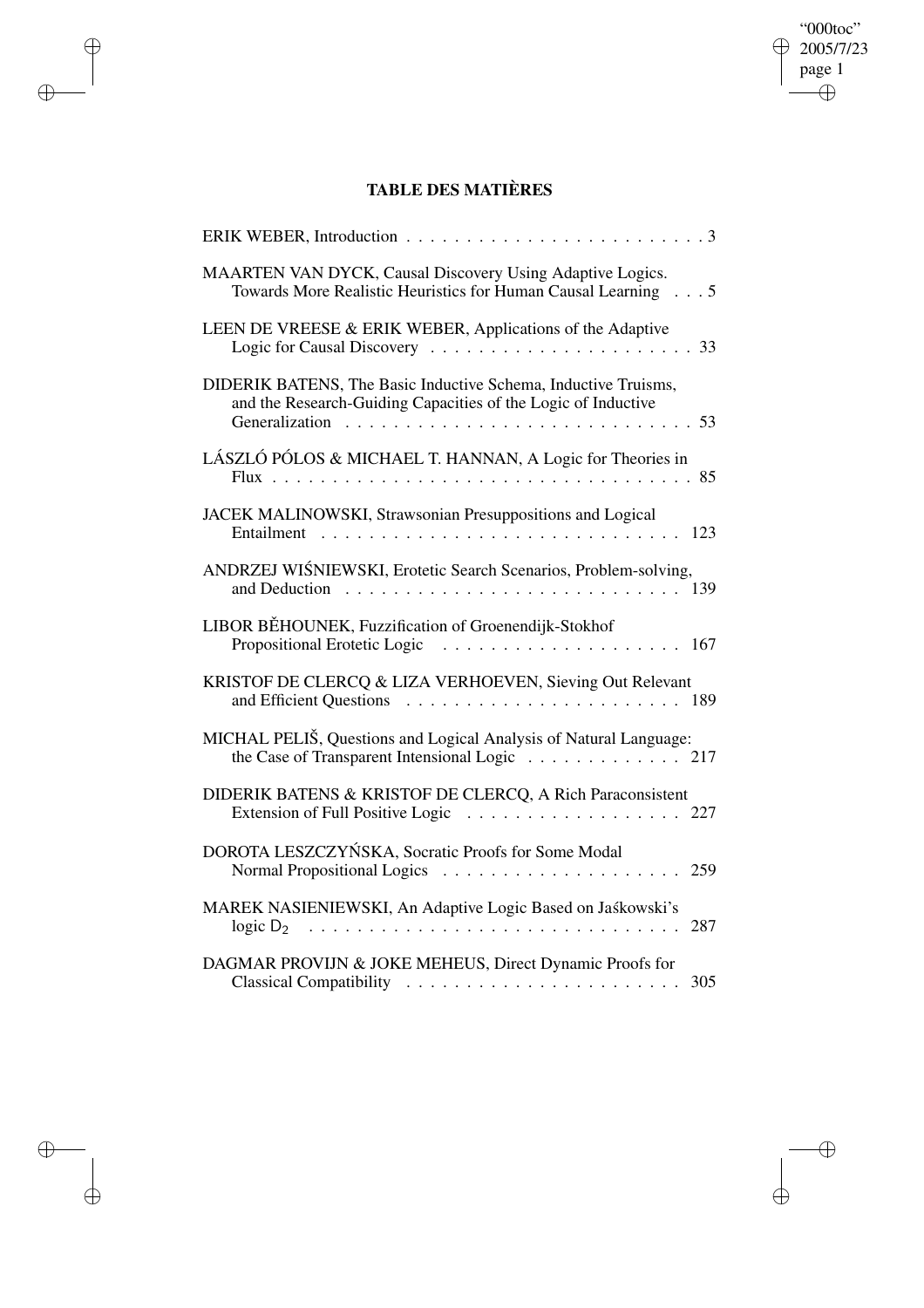## "000toc"  $\oplus$  2005/7/23 page 1  $\bigoplus$

 $\bigoplus$ 

 $\bigoplus$ 

## **TABLE DES MATIÈRES**

 $\bigoplus$ 

 $\bigoplus$ 

 $\bigoplus$ 

 $\bigoplus$ 

| ERIK WEBER, Introduction<br>. 3                                                                                                       |
|---------------------------------------------------------------------------------------------------------------------------------------|
| MAARTEN VAN DYCK, Causal Discovery Using Adaptive Logics.<br>Towards More Realistic Heuristics for Human Causal Learning 5            |
| LEEN DE VREESE & ERIK WEBER, Applications of the Adaptive                                                                             |
| DIDERIK BATENS, The Basic Inductive Schema, Inductive Truisms,<br>and the Research-Guiding Capacities of the Logic of Inductive<br>53 |
| LÁSZLÓ PÓLOS & MICHAEL T. HANNAN, A Logic for Theories in<br>85                                                                       |
| JACEK MALINOWSKI, Strawsonian Presuppositions and Logical<br>123                                                                      |
| ANDRZEJ WIŚNIEWSKI, Erotetic Search Scenarios, Problem-solving,<br>and Deduction                                                      |
| LIBOR BĚHOUNEK, Fuzzification of Groenendijk-Stokhof<br>Propositional Erotetic Logic<br>167                                           |
| KRISTOF DE CLERCQ & LIZA VERHOEVEN, Sieving Out Relevant                                                                              |
| MICHAL PELIŠ, Questions and Logical Analysis of Natural Language:<br>the Case of Transparent Intensional Logic 217                    |
| DIDERIK BATENS & KRISTOF DE CLERCQ, A Rich Paraconsistent<br>Extension of Full Positive Logic 227                                     |
| DOROTA LESZCZYŃSKA, Socratic Proofs for Some Modal<br>259                                                                             |
| MAREK NASIENIEWSKI, An Adaptive Logic Based on Jaśkowski's<br>287<br>logic D <sub>2</sub>                                             |
| DAGMAR PROVIJN & JOKE MEHEUS, Direct Dynamic Proofs for<br>305                                                                        |